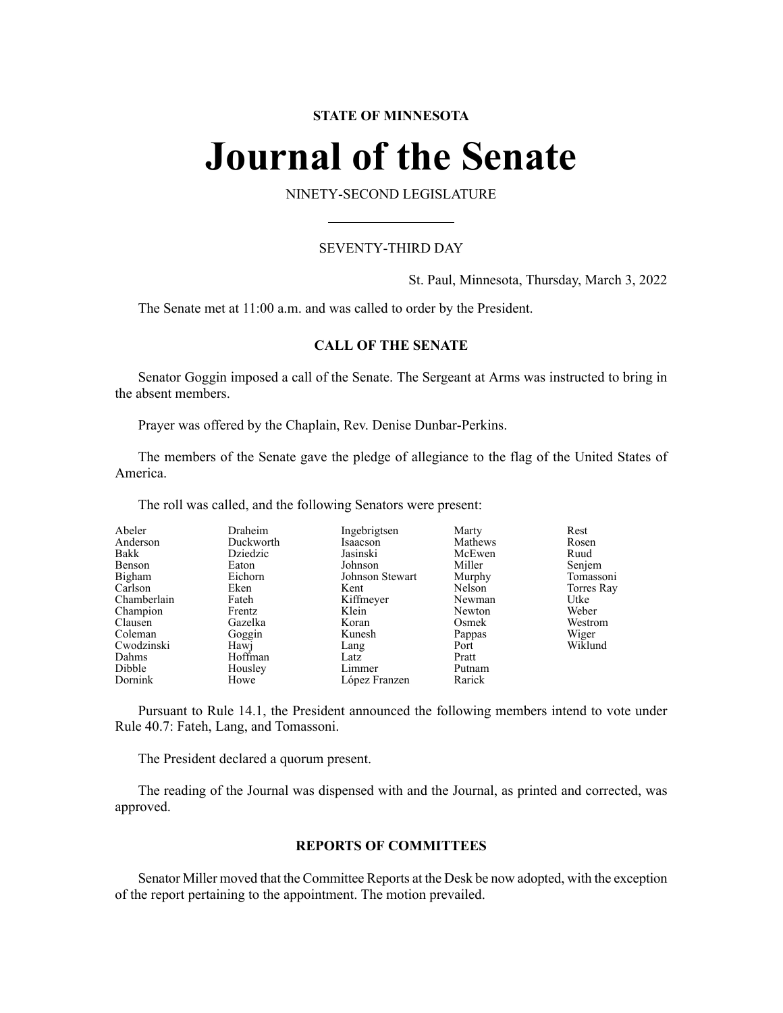# **STATE OF MINNESOTA**

# **Journal of the Senate**

NINETY-SECOND LEGISLATURE

# SEVENTY-THIRD DAY

St. Paul, Minnesota, Thursday, March 3, 2022

The Senate met at 11:00 a.m. and was called to order by the President.

# **CALL OF THE SENATE**

Senator Goggin imposed a call of the Senate. The Sergeant at Arms was instructed to bring in the absent members.

Prayer was offered by the Chaplain, Rev. Denise Dunbar-Perkins.

The members of the Senate gave the pledge of allegiance to the flag of the United States of America.

The roll was called, and the following Senators were present:

| Abeler      | Draheim   | Ingebrigtsen    | Marty   | Rest       |
|-------------|-----------|-----------------|---------|------------|
| Anderson    | Duckworth | Isaacson        | Mathews | Rosen      |
| Bakk        | Dziedzic  | Jasinski        | McEwen  | Ruud       |
| Benson      | Eaton     | Johnson         | Miller  | Senjem     |
| Bigham      | Eichorn   | Johnson Stewart | Murphy  | Tomassoni  |
| Carlson     | Eken      | Kent            | Nelson  | Torres Ray |
| Chamberlain | Fateh     | Kiffmeyer       | Newman  | Utke       |
| Champion    | Frentz    | Klein           | Newton  | Weber      |
| Clausen     | Gazelka   | Koran           | Osmek   | Westrom    |
| Coleman     | Goggin    | Kunesh          | Pappas  | Wiger      |
| Cwodzinski  | Hawj      | Lang            | Port    | Wiklund    |
| Dahms       | Hoffman   | Latz            | Pratt   |            |
| Dibble      | Housley   | Limmer          | Putnam  |            |
| Dornink     | Howe      | López Franzen   | Rarick  |            |

Pursuant to Rule 14.1, the President announced the following members intend to vote under Rule 40.7: Fateh, Lang, and Tomassoni.

The President declared a quorum present.

The reading of the Journal was dispensed with and the Journal, as printed and corrected, was approved.

### **REPORTS OF COMMITTEES**

Senator Miller moved that the Committee Reports at the Desk be now adopted, with the exception of the report pertaining to the appointment. The motion prevailed.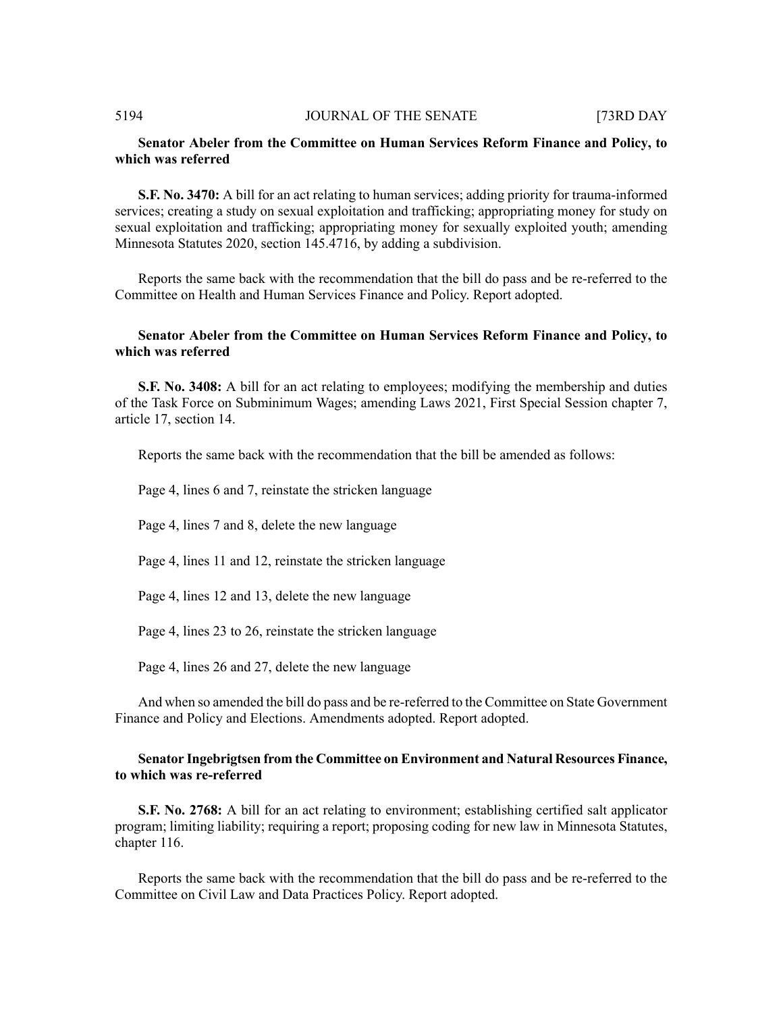# **Senator Abeler from the Committee on Human Services Reform Finance and Policy, to which was referred**

**S.F. No. 3470:** A bill for an act relating to human services; adding priority for trauma-informed services; creating a study on sexual exploitation and trafficking; appropriating money for study on sexual exploitation and trafficking; appropriating money for sexually exploited youth; amending Minnesota Statutes 2020, section 145.4716, by adding a subdivision.

Reports the same back with the recommendation that the bill do pass and be re-referred to the Committee on Health and Human Services Finance and Policy. Report adopted.

# **Senator Abeler from the Committee on Human Services Reform Finance and Policy, to which was referred**

**S.F. No. 3408:** A bill for an act relating to employees; modifying the membership and duties of the Task Force on Subminimum Wages; amending Laws 2021, First Special Session chapter 7, article 17, section 14.

Reports the same back with the recommendation that the bill be amended as follows:

Page 4, lines 6 and 7, reinstate the stricken language

Page 4, lines 7 and 8, delete the new language

Page 4, lines 11 and 12, reinstate the stricken language

Page 4, lines 12 and 13, delete the new language

Page 4, lines 23 to 26, reinstate the stricken language

Page 4, lines 26 and 27, delete the new language

And when so amended the bill do pass and be re-referred to the Committee on State Government Finance and Policy and Elections. Amendments adopted. Report adopted.

# **Senator Ingebrigtsen from the Committee on Environment and Natural Resources Finance, to which was re-referred**

**S.F. No. 2768:** A bill for an act relating to environment; establishing certified salt applicator program; limiting liability; requiring a report; proposing coding for new law in Minnesota Statutes, chapter 116.

Reports the same back with the recommendation that the bill do pass and be re-referred to the Committee on Civil Law and Data Practices Policy. Report adopted.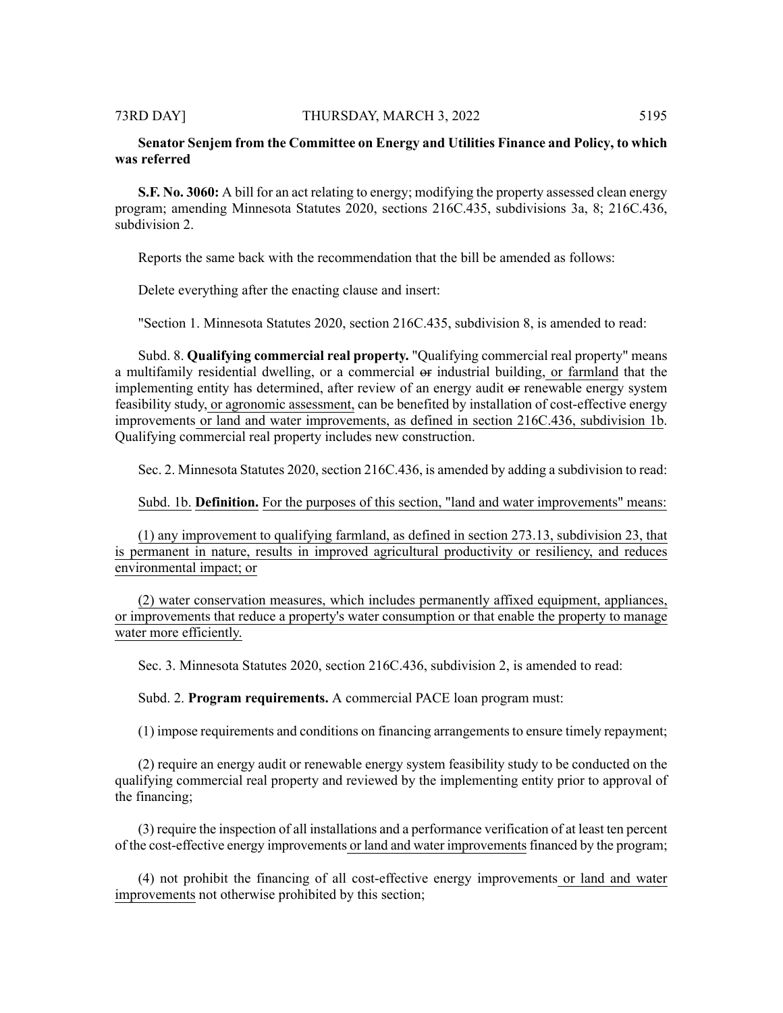# **Senator Senjem from the Committee on Energy and Utilities Finance and Policy, to which was referred**

**S.F. No. 3060:** A bill for an act relating to energy; modifying the property assessed clean energy program; amending Minnesota Statutes 2020, sections 216C.435, subdivisions 3a, 8; 216C.436, subdivision 2.

Reports the same back with the recommendation that the bill be amended as follows:

Delete everything after the enacting clause and insert:

"Section 1. Minnesota Statutes 2020, section 216C.435, subdivision 8, is amended to read:

Subd. 8. **Qualifying commercial real property.** "Qualifying commercial real property" means a multifamily residential dwelling, or a commercial or industrial building, or farmland that the implementing entity has determined, after review of an energy audit or renewable energy system feasibility study, or agronomic assessment, can be benefited by installation of cost-effective energy improvements or land and water improvements, as defined in section 216C.436, subdivision 1b. Qualifying commercial real property includes new construction.

Sec. 2. Minnesota Statutes 2020, section 216C.436, is amended by adding a subdivision to read:

Subd. 1b. **Definition.** For the purposes of this section, "land and water improvements" means:

(1) any improvement to qualifying farmland, as defined in section 273.13, subdivision 23, that is permanent in nature, results in improved agricultural productivity or resiliency, and reduces environmental impact; or

(2) water conservation measures, which includes permanently affixed equipment, appliances, or improvements that reduce a property's water consumption or that enable the property to manage water more efficiently.

Sec. 3. Minnesota Statutes 2020, section 216C.436, subdivision 2, is amended to read:

Subd. 2. **Program requirements.** A commercial PACE loan program must:

(1) impose requirements and conditions on financing arrangements to ensure timely repayment;

(2) require an energy audit or renewable energy system feasibility study to be conducted on the qualifying commercial real property and reviewed by the implementing entity prior to approval of the financing;

(3) require the inspection of all installations and a performance verification of at least ten percent of the cost-effective energy improvements or land and water improvementsfinanced by the program;

(4) not prohibit the financing of all cost-effective energy improvements or land and water improvements not otherwise prohibited by this section;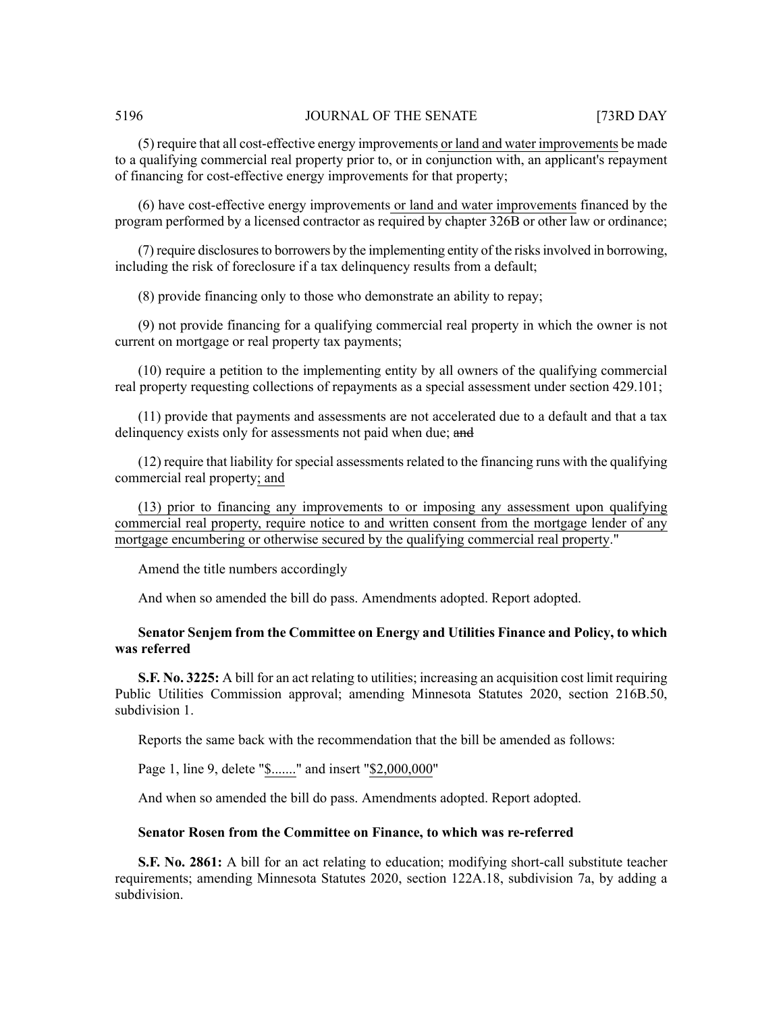(5) require that all cost-effective energy improvements or land and water improvements be made to a qualifying commercial real property prior to, or in conjunction with, an applicant's repayment of financing for cost-effective energy improvements for that property;

(6) have cost-effective energy improvements or land and water improvements financed by the program performed by a licensed contractor as required by chapter 326B or other law or ordinance;

(7) require disclosures to borrowers by the implementing entity of the risks involved in borrowing, including the risk of foreclosure if a tax delinquency results from a default;

(8) provide financing only to those who demonstrate an ability to repay;

(9) not provide financing for a qualifying commercial real property in which the owner is not current on mortgage or real property tax payments;

(10) require a petition to the implementing entity by all owners of the qualifying commercial real property requesting collections of repayments as a special assessment under section 429.101;

(11) provide that payments and assessments are not accelerated due to a default and that a tax delinquency exists only for assessments not paid when due; and

(12) require that liability for special assessments related to the financing runs with the qualifying commercial real property; and

(13) prior to financing any improvements to or imposing any assessment upon qualifying commercial real property, require notice to and written consent from the mortgage lender of any mortgage encumbering or otherwise secured by the qualifying commercial real property."

Amend the title numbers accordingly

And when so amended the bill do pass. Amendments adopted. Report adopted.

# **Senator Senjem from the Committee on Energy and Utilities Finance and Policy, to which was referred**

**S.F. No. 3225:** A bill for an act relating to utilities; increasing an acquisition cost limit requiring Public Utilities Commission approval; amending Minnesota Statutes 2020, section 216B.50, subdivision 1.

Reports the same back with the recommendation that the bill be amended as follows:

Page 1, line 9, delete "\$......." and insert "\$2,000,000"

And when so amended the bill do pass. Amendments adopted. Report adopted.

#### **Senator Rosen from the Committee on Finance, to which was re-referred**

**S.F. No. 2861:** A bill for an act relating to education; modifying short-call substitute teacher requirements; amending Minnesota Statutes 2020, section 122A.18, subdivision 7a, by adding a subdivision.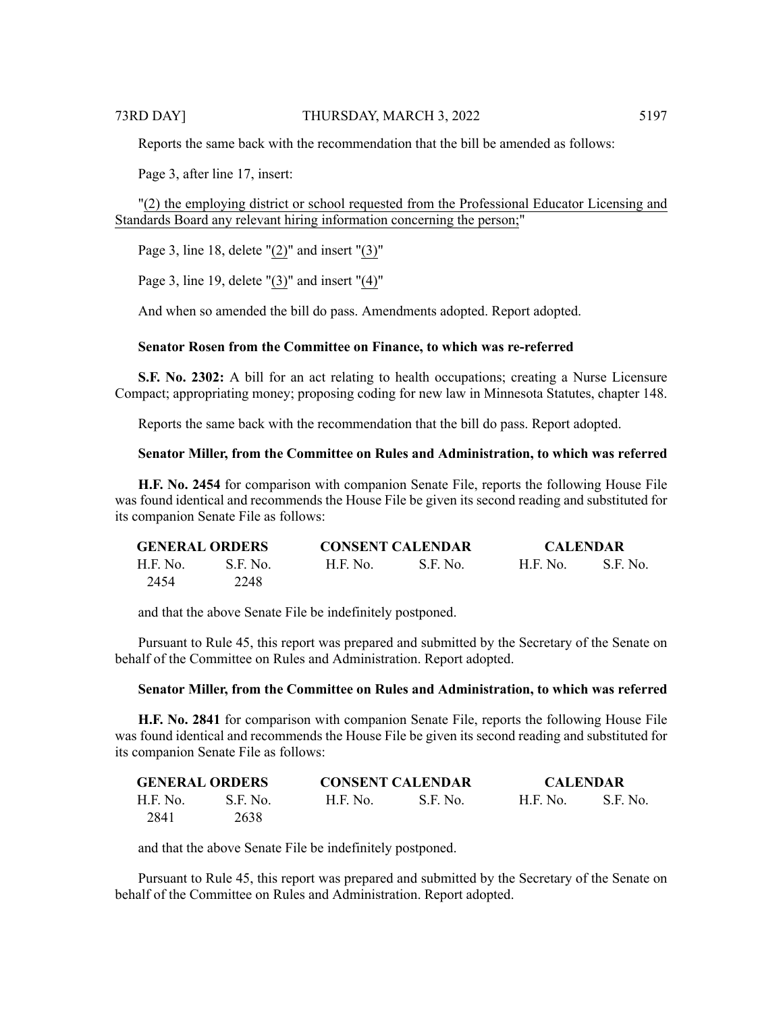Reports the same back with the recommendation that the bill be amended as follows:

Page 3, after line 17, insert:

"(2) the employing district or school requested from the Professional Educator Licensing and Standards Board any relevant hiring information concerning the person;"

Page 3, line 18, delete  $"(2)"$  and insert  $"(3)"$ 

Page 3, line 19, delete "(3)" and insert "(4)"

And when so amended the bill do pass. Amendments adopted. Report adopted.

# **Senator Rosen from the Committee on Finance, to which was re-referred**

**S.F. No. 2302:** A bill for an act relating to health occupations; creating a Nurse Licensure Compact; appropriating money; proposing coding for new law in Minnesota Statutes, chapter 148.

Reports the same back with the recommendation that the bill do pass. Report adopted.

### **Senator Miller, from the Committee on Rules and Administration, to which was referred**

**H.F. No. 2454** for comparison with companion Senate File, reports the following House File was found identical and recommends the House File be given its second reading and substituted for its companion Senate File as follows:

| <b>GENERAL ORDERS</b> |          | <b>CONSENT CALENDAR</b> |          | <b>CALENDAR</b> |          |
|-----------------------|----------|-------------------------|----------|-----------------|----------|
| H.F. No.              | S.F. No. | H.F. No.                | S.F. No. | <b>H.F. No.</b> | S.F. No. |
| 2454                  | 2248     |                         |          |                 |          |

and that the above Senate File be indefinitely postponed.

Pursuant to Rule 45, this report was prepared and submitted by the Secretary of the Senate on behalf of the Committee on Rules and Administration. Report adopted.

#### **Senator Miller, from the Committee on Rules and Administration, to which was referred**

**H.F. No. 2841** for comparison with companion Senate File, reports the following House File was found identical and recommends the House File be given its second reading and substituted for its companion Senate File as follows:

| <b>GENERAL ORDERS</b> |          | <b>CONSENT CALENDAR</b> |           | <b>CALENDAR</b> |          |
|-----------------------|----------|-------------------------|-----------|-----------------|----------|
| H.F. No.              | S.F. No. | H.F. No.                | -S.F. No. | - H.F. No.      | S.F. No. |
| 2841                  | 2638     |                         |           |                 |          |

and that the above Senate File be indefinitely postponed.

Pursuant to Rule 45, this report was prepared and submitted by the Secretary of the Senate on behalf of the Committee on Rules and Administration. Report adopted.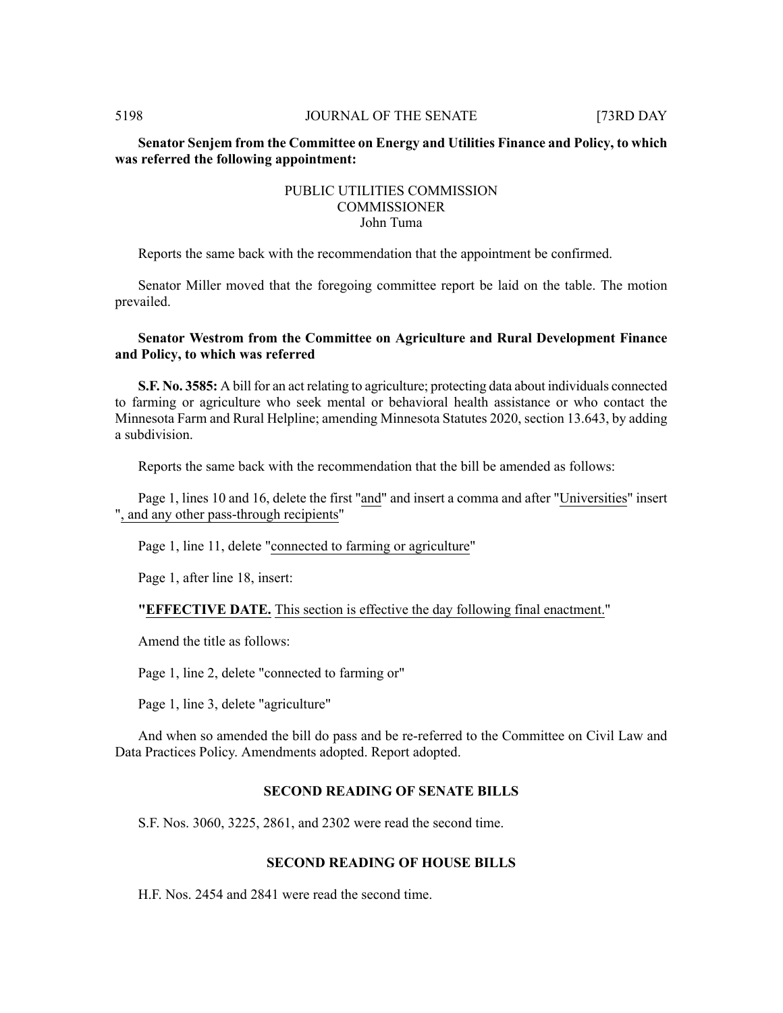# **Senator Senjem from the Committee on Energy and Utilities Finance and Policy, to which was referred the following appointment:**

# PUBLIC UTILITIES COMMISSION **COMMISSIONER** John Tuma

Reports the same back with the recommendation that the appointment be confirmed.

Senator Miller moved that the foregoing committee report be laid on the table. The motion prevailed.

# **Senator Westrom from the Committee on Agriculture and Rural Development Finance and Policy, to which was referred**

**S.F. No. 3585:** A bill for an act relating to agriculture; protecting data about individuals connected to farming or agriculture who seek mental or behavioral health assistance or who contact the Minnesota Farm and Rural Helpline; amending Minnesota Statutes 2020, section 13.643, by adding a subdivision.

Reports the same back with the recommendation that the bill be amended as follows:

Page 1, lines 10 and 16, delete the first "and" and insert a comma and after "Universities" insert ", and any other pass-through recipients"

Page 1, line 11, delete "connected to farming or agriculture"

Page 1, after line 18, insert:

**"EFFECTIVE DATE.** This section is effective the day following final enactment."

Amend the title as follows:

Page 1, line 2, delete "connected to farming or"

Page 1, line 3, delete "agriculture"

And when so amended the bill do pass and be re-referred to the Committee on Civil Law and Data Practices Policy. Amendments adopted. Report adopted.

# **SECOND READING OF SENATE BILLS**

S.F. Nos. 3060, 3225, 2861, and 2302 were read the second time.

# **SECOND READING OF HOUSE BILLS**

H.F. Nos. 2454 and 2841 were read the second time.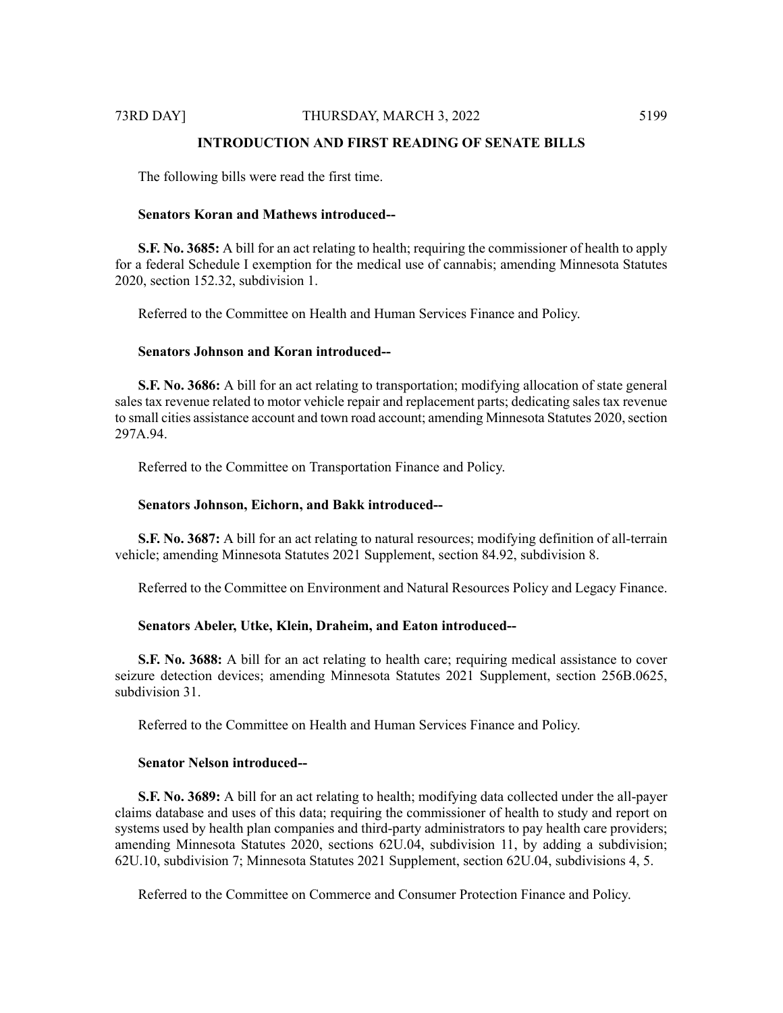# **INTRODUCTION AND FIRST READING OF SENATE BILLS**

The following bills were read the first time.

#### **Senators Koran and Mathews introduced--**

**S.F. No. 3685:** A bill for an act relating to health; requiring the commissioner of health to apply for a federal Schedule I exemption for the medical use of cannabis; amending Minnesota Statutes 2020, section 152.32, subdivision 1.

Referred to the Committee on Health and Human Services Finance and Policy.

# **Senators Johnson and Koran introduced--**

**S.F. No. 3686:** A bill for an act relating to transportation; modifying allocation of state general sales tax revenue related to motor vehicle repair and replacement parts; dedicating sales tax revenue to small cities assistance account and town road account; amending Minnesota Statutes 2020, section 297A.94.

Referred to the Committee on Transportation Finance and Policy.

#### **Senators Johnson, Eichorn, and Bakk introduced--**

**S.F. No. 3687:** A bill for an act relating to natural resources; modifying definition of all-terrain vehicle; amending Minnesota Statutes 2021 Supplement, section 84.92, subdivision 8.

Referred to the Committee on Environment and Natural Resources Policy and Legacy Finance.

# **Senators Abeler, Utke, Klein, Draheim, and Eaton introduced--**

**S.F. No. 3688:** A bill for an act relating to health care; requiring medical assistance to cover seizure detection devices; amending Minnesota Statutes 2021 Supplement, section 256B.0625, subdivision 31.

Referred to the Committee on Health and Human Services Finance and Policy.

# **Senator Nelson introduced--**

**S.F. No. 3689:** A bill for an act relating to health; modifying data collected under the all-payer claims database and uses of this data; requiring the commissioner of health to study and report on systems used by health plan companies and third-party administrators to pay health care providers; amending Minnesota Statutes 2020, sections 62U.04, subdivision 11, by adding a subdivision; 62U.10, subdivision 7; Minnesota Statutes 2021 Supplement, section 62U.04, subdivisions 4, 5.

Referred to the Committee on Commerce and Consumer Protection Finance and Policy.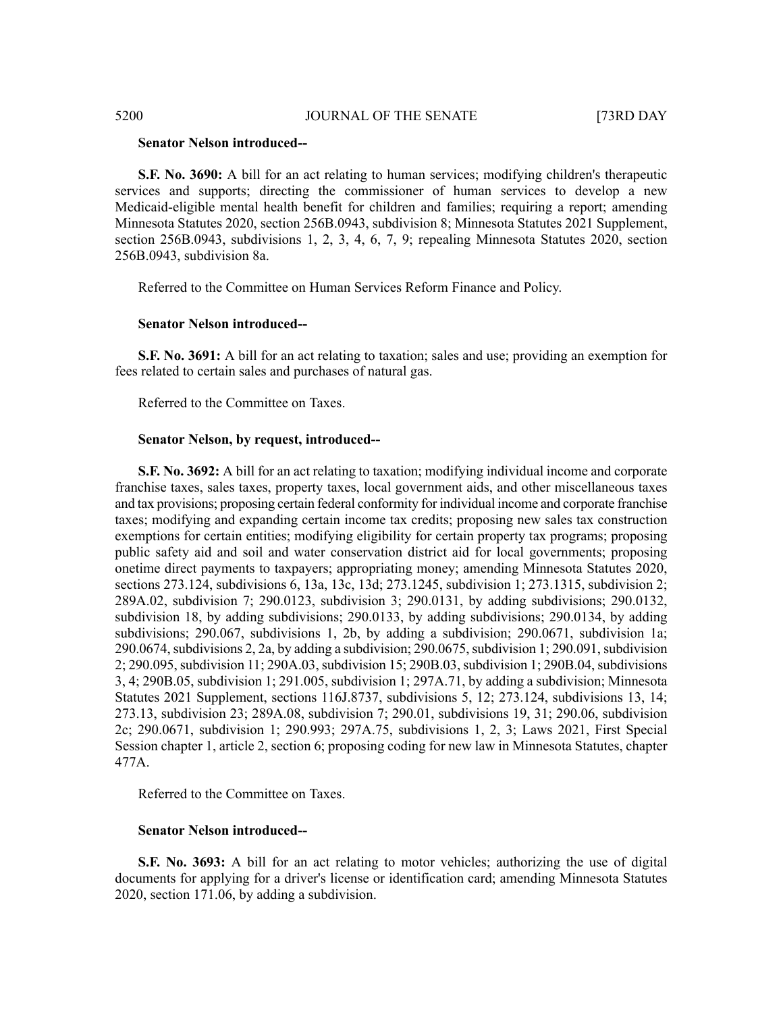#### **Senator Nelson introduced--**

**S.F. No. 3690:** A bill for an act relating to human services; modifying children's therapeutic services and supports; directing the commissioner of human services to develop a new Medicaid-eligible mental health benefit for children and families; requiring a report; amending Minnesota Statutes 2020, section 256B.0943, subdivision 8; Minnesota Statutes 2021 Supplement, section 256B.0943, subdivisions 1, 2, 3, 4, 6, 7, 9; repealing Minnesota Statutes 2020, section 256B.0943, subdivision 8a.

Referred to the Committee on Human Services Reform Finance and Policy.

#### **Senator Nelson introduced--**

**S.F. No. 3691:** A bill for an act relating to taxation; sales and use; providing an exemption for fees related to certain sales and purchases of natural gas.

Referred to the Committee on Taxes.

#### **Senator Nelson, by request, introduced--**

**S.F. No. 3692:** A bill for an act relating to taxation; modifying individual income and corporate franchise taxes, sales taxes, property taxes, local government aids, and other miscellaneous taxes and tax provisions; proposing certain federal conformity for individual income and corporate franchise taxes; modifying and expanding certain income tax credits; proposing new sales tax construction exemptions for certain entities; modifying eligibility for certain property tax programs; proposing public safety aid and soil and water conservation district aid for local governments; proposing onetime direct payments to taxpayers; appropriating money; amending Minnesota Statutes 2020, sections 273.124, subdivisions 6, 13a, 13c, 13d; 273.1245, subdivision 1; 273.1315, subdivision 2; 289A.02, subdivision 7; 290.0123, subdivision 3; 290.0131, by adding subdivisions; 290.0132, subdivision 18, by adding subdivisions; 290.0133, by adding subdivisions; 290.0134, by adding subdivisions; 290.067, subdivisions 1, 2b, by adding a subdivision; 290.0671, subdivision 1a;  $290.0674$ , subdivisions 2, 2a, by adding a subdivision; 290.0675, subdivision 1; 290.091, subdivision 2; 290.095, subdivision 11; 290A.03, subdivision 15; 290B.03, subdivision 1; 290B.04, subdivisions 3, 4; 290B.05, subdivision 1; 291.005, subdivision 1; 297A.71, by adding a subdivision; Minnesota Statutes 2021 Supplement, sections 116J.8737, subdivisions 5, 12; 273.124, subdivisions 13, 14; 273.13, subdivision 23; 289A.08, subdivision 7; 290.01, subdivisions 19, 31; 290.06, subdivision 2c; 290.0671, subdivision 1; 290.993; 297A.75, subdivisions 1, 2, 3; Laws 2021, First Special Session chapter 1, article 2, section 6; proposing coding for new law in Minnesota Statutes, chapter 477A.

Referred to the Committee on Taxes.

#### **Senator Nelson introduced--**

**S.F. No. 3693:** A bill for an act relating to motor vehicles; authorizing the use of digital documents for applying for a driver's license or identification card; amending Minnesota Statutes 2020, section 171.06, by adding a subdivision.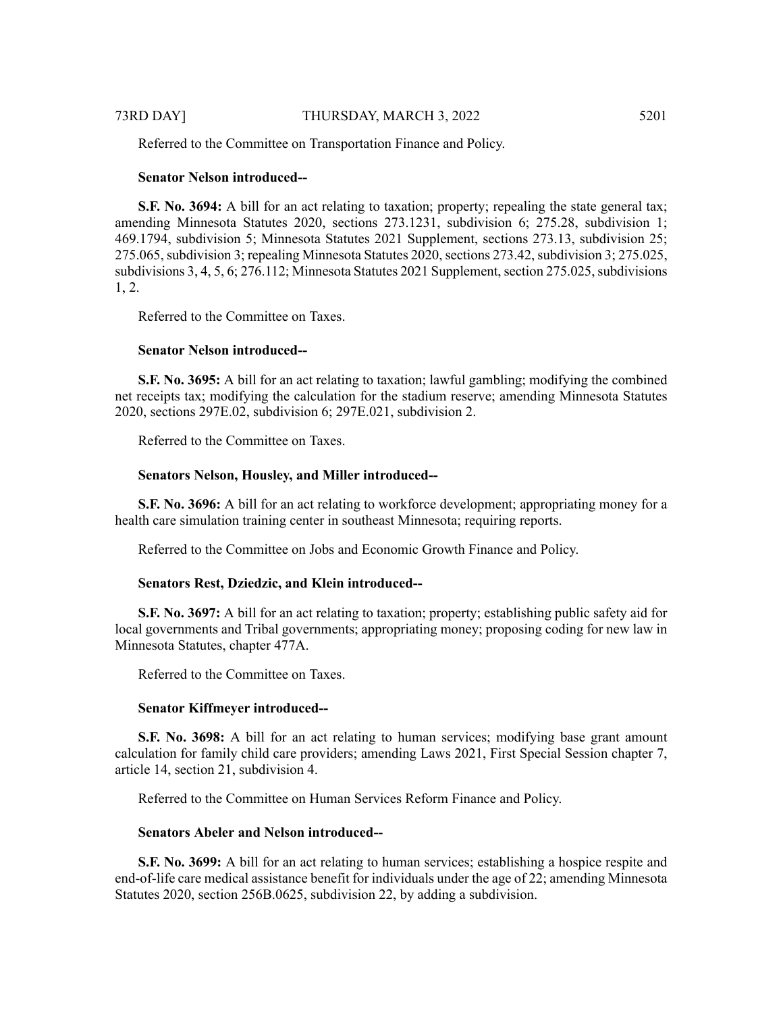Referred to the Committee on Transportation Finance and Policy.

# **Senator Nelson introduced--**

**S.F.** No. 3694: A bill for an act relating to taxation; property; repealing the state general tax; amending Minnesota Statutes 2020, sections 273.1231, subdivision 6; 275.28, subdivision 1; 469.1794, subdivision 5; Minnesota Statutes 2021 Supplement, sections 273.13, subdivision 25; 275.065, subdivision 3; repealing Minnesota Statutes 2020, sections 273.42, subdivision 3; 275.025, subdivisions 3, 4, 5, 6; 276.112; Minnesota Statutes 2021 Supplement, section 275.025, subdivisions 1, 2.

Referred to the Committee on Taxes.

#### **Senator Nelson introduced--**

**S.F. No. 3695:** A bill for an act relating to taxation; lawful gambling; modifying the combined net receipts tax; modifying the calculation for the stadium reserve; amending Minnesota Statutes 2020, sections 297E.02, subdivision 6; 297E.021, subdivision 2.

Referred to the Committee on Taxes.

#### **Senators Nelson, Housley, and Miller introduced--**

**S.F. No. 3696:** A bill for an act relating to workforce development; appropriating money for a health care simulation training center in southeast Minnesota; requiring reports.

Referred to the Committee on Jobs and Economic Growth Finance and Policy.

# **Senators Rest, Dziedzic, and Klein introduced--**

**S.F. No. 3697:** A bill for an act relating to taxation; property; establishing public safety aid for local governments and Tribal governments; appropriating money; proposing coding for new law in Minnesota Statutes, chapter 477A.

Referred to the Committee on Taxes.

#### **Senator Kiffmeyer introduced--**

**S.F. No. 3698:** A bill for an act relating to human services; modifying base grant amount calculation for family child care providers; amending Laws 2021, First Special Session chapter 7, article 14, section 21, subdivision 4.

Referred to the Committee on Human Services Reform Finance and Policy.

# **Senators Abeler and Nelson introduced--**

**S.F. No. 3699:** A bill for an act relating to human services; establishing a hospice respite and end-of-life care medical assistance benefit for individuals under the age of 22; amending Minnesota Statutes 2020, section 256B.0625, subdivision 22, by adding a subdivision.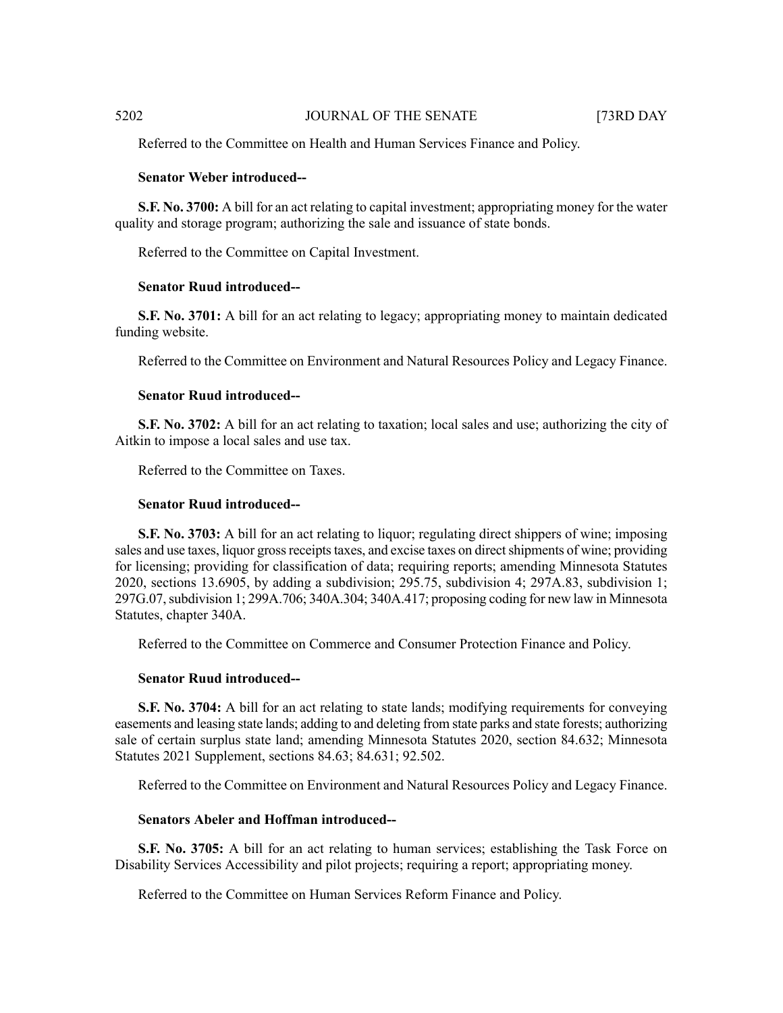Referred to the Committee on Health and Human Services Finance and Policy.

# **Senator Weber introduced--**

**S.F. No. 3700:** A bill for an act relating to capital investment; appropriating money for the water quality and storage program; authorizing the sale and issuance of state bonds.

Referred to the Committee on Capital Investment.

### **Senator Ruud introduced--**

**S.F. No. 3701:** A bill for an act relating to legacy; appropriating money to maintain dedicated funding website.

Referred to the Committee on Environment and Natural Resources Policy and Legacy Finance.

### **Senator Ruud introduced--**

**S.F. No. 3702:** A bill for an act relating to taxation; local sales and use; authorizing the city of Aitkin to impose a local sales and use tax.

Referred to the Committee on Taxes.

# **Senator Ruud introduced--**

**S.F. No. 3703:** A bill for an act relating to liquor; regulating direct shippers of wine; imposing sales and use taxes, liquor gross receipts taxes, and excise taxes on direct shipments of wine; providing for licensing; providing for classification of data; requiring reports; amending Minnesota Statutes 2020, sections 13.6905, by adding a subdivision; 295.75, subdivision 4; 297A.83, subdivision 1; 297G.07,subdivision 1; 299A.706; 340A.304; 340A.417; proposing coding for new law in Minnesota Statutes, chapter 340A.

Referred to the Committee on Commerce and Consumer Protection Finance and Policy.

#### **Senator Ruud introduced--**

**S.F. No. 3704:** A bill for an act relating to state lands; modifying requirements for conveying easements and leasing state lands; adding to and deleting from state parks and state forests; authorizing sale of certain surplus state land; amending Minnesota Statutes 2020, section 84.632; Minnesota Statutes 2021 Supplement, sections 84.63; 84.631; 92.502.

Referred to the Committee on Environment and Natural Resources Policy and Legacy Finance.

# **Senators Abeler and Hoffman introduced--**

**S.F. No. 3705:** A bill for an act relating to human services; establishing the Task Force on Disability Services Accessibility and pilot projects; requiring a report; appropriating money.

Referred to the Committee on Human Services Reform Finance and Policy.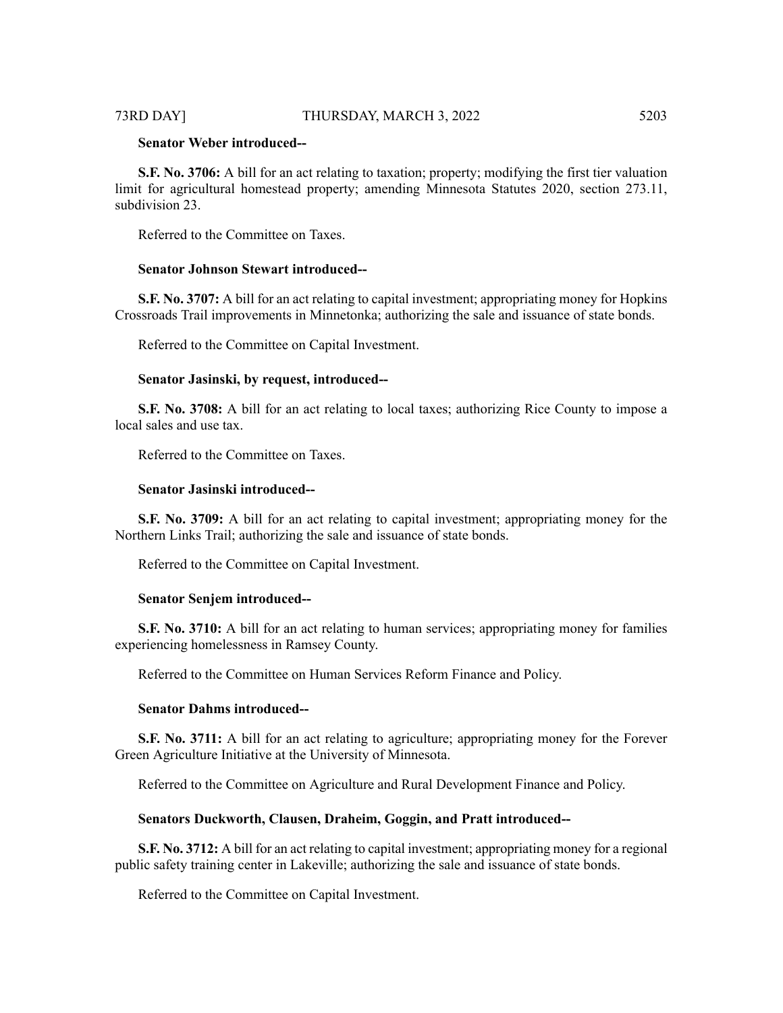#### 73RD DAY] THURSDAY, MARCH 3, 2022 5203

# **Senator Weber introduced--**

**S.F. No. 3706:** A bill for an act relating to taxation; property; modifying the first tier valuation limit for agricultural homestead property; amending Minnesota Statutes 2020, section 273.11, subdivision 23.

Referred to the Committee on Taxes.

#### **Senator Johnson Stewart introduced--**

**S.F. No. 3707:** A bill for an act relating to capital investment; appropriating money for Hopkins Crossroads Trail improvements in Minnetonka; authorizing the sale and issuance of state bonds.

Referred to the Committee on Capital Investment.

# **Senator Jasinski, by request, introduced--**

**S.F. No. 3708:** A bill for an act relating to local taxes; authorizing Rice County to impose a local sales and use tax.

Referred to the Committee on Taxes.

#### **Senator Jasinski introduced--**

**S.F. No. 3709:** A bill for an act relating to capital investment; appropriating money for the Northern Links Trail; authorizing the sale and issuance of state bonds.

Referred to the Committee on Capital Investment.

#### **Senator Senjem introduced--**

**S.F. No. 3710:** A bill for an act relating to human services; appropriating money for families experiencing homelessness in Ramsey County.

Referred to the Committee on Human Services Reform Finance and Policy.

#### **Senator Dahms introduced--**

**S.F. No. 3711:** A bill for an act relating to agriculture; appropriating money for the Forever Green Agriculture Initiative at the University of Minnesota.

Referred to the Committee on Agriculture and Rural Development Finance and Policy.

#### **Senators Duckworth, Clausen, Draheim, Goggin, and Pratt introduced--**

**S.F. No. 3712:** A bill for an act relating to capital investment; appropriating money for a regional public safety training center in Lakeville; authorizing the sale and issuance of state bonds.

Referred to the Committee on Capital Investment.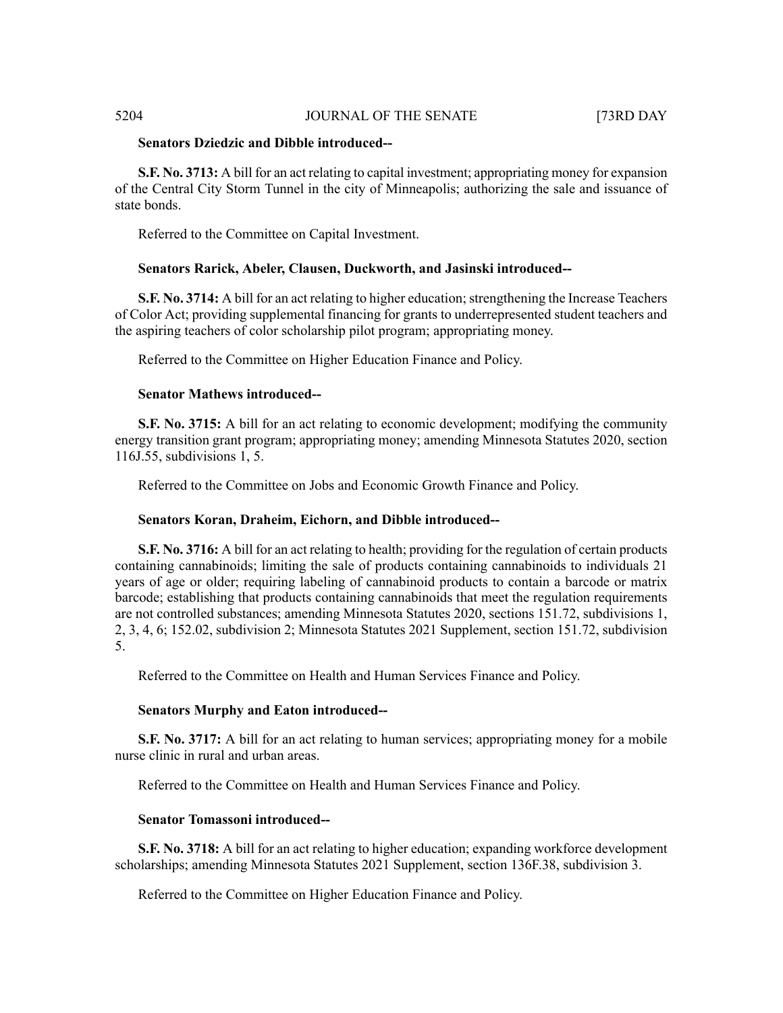### **Senators Dziedzic and Dibble introduced--**

**S.F. No. 3713:** A bill for an act relating to capital investment; appropriating money for expansion of the Central City Storm Tunnel in the city of Minneapolis; authorizing the sale and issuance of state bonds.

Referred to the Committee on Capital Investment.

### **Senators Rarick, Abeler, Clausen, Duckworth, and Jasinski introduced--**

**S.F. No. 3714:** A bill for an act relating to higher education; strengthening the Increase Teachers of Color Act; providing supplemental financing for grants to underrepresented student teachers and the aspiring teachers of color scholarship pilot program; appropriating money.

Referred to the Committee on Higher Education Finance and Policy.

# **Senator Mathews introduced--**

**S.F. No. 3715:** A bill for an act relating to economic development; modifying the community energy transition grant program; appropriating money; amending Minnesota Statutes 2020, section 116J.55, subdivisions 1, 5.

Referred to the Committee on Jobs and Economic Growth Finance and Policy.

#### **Senators Koran, Draheim, Eichorn, and Dibble introduced--**

**S.F. No. 3716:** A bill for an act relating to health; providing for the regulation of certain products containing cannabinoids; limiting the sale of products containing cannabinoids to individuals 21 years of age or older; requiring labeling of cannabinoid products to contain a barcode or matrix barcode; establishing that products containing cannabinoids that meet the regulation requirements are not controlled substances; amending Minnesota Statutes 2020, sections 151.72, subdivisions 1, 2, 3, 4, 6; 152.02, subdivision 2; Minnesota Statutes 2021 Supplement, section 151.72, subdivision 5.

Referred to the Committee on Health and Human Services Finance and Policy.

### **Senators Murphy and Eaton introduced--**

**S.F. No. 3717:** A bill for an act relating to human services; appropriating money for a mobile nurse clinic in rural and urban areas.

Referred to the Committee on Health and Human Services Finance and Policy.

# **Senator Tomassoni introduced--**

**S.F. No. 3718:** A bill for an act relating to higher education; expanding workforce development scholarships; amending Minnesota Statutes 2021 Supplement, section 136F.38, subdivision 3.

Referred to the Committee on Higher Education Finance and Policy.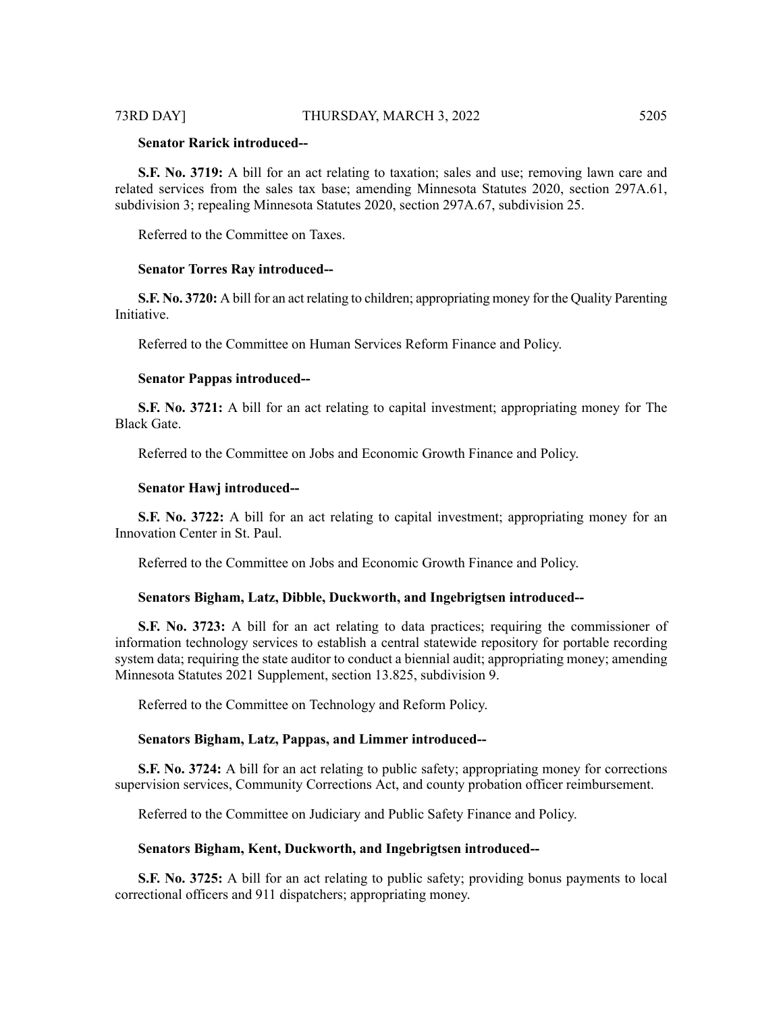# **Senator Rarick introduced--**

**S.F. No. 3719:** A bill for an act relating to taxation; sales and use; removing lawn care and related services from the sales tax base; amending Minnesota Statutes 2020, section 297A.61, subdivision 3; repealing Minnesota Statutes 2020, section 297A.67, subdivision 25.

Referred to the Committee on Taxes.

# **Senator Torres Ray introduced--**

**S.F. No. 3720:** A bill for an act relating to children; appropriating money for the Quality Parenting Initiative.

Referred to the Committee on Human Services Reform Finance and Policy.

#### **Senator Pappas introduced--**

**S.F. No. 3721:** A bill for an act relating to capital investment; appropriating money for The Black Gate.

Referred to the Committee on Jobs and Economic Growth Finance and Policy.

#### **Senator Hawj introduced--**

**S.F. No. 3722:** A bill for an act relating to capital investment; appropriating money for an Innovation Center in St. Paul.

Referred to the Committee on Jobs and Economic Growth Finance and Policy.

#### **Senators Bigham, Latz, Dibble, Duckworth, and Ingebrigtsen introduced--**

**S.F. No. 3723:** A bill for an act relating to data practices; requiring the commissioner of information technology services to establish a central statewide repository for portable recording system data; requiring the state auditor to conduct a biennial audit; appropriating money; amending Minnesota Statutes 2021 Supplement, section 13.825, subdivision 9.

Referred to the Committee on Technology and Reform Policy.

#### **Senators Bigham, Latz, Pappas, and Limmer introduced--**

**S.F. No. 3724:** A bill for an act relating to public safety; appropriating money for corrections supervision services, Community Corrections Act, and county probation officer reimbursement.

Referred to the Committee on Judiciary and Public Safety Finance and Policy.

#### **Senators Bigham, Kent, Duckworth, and Ingebrigtsen introduced--**

**S.F. No. 3725:** A bill for an act relating to public safety; providing bonus payments to local correctional officers and 911 dispatchers; appropriating money.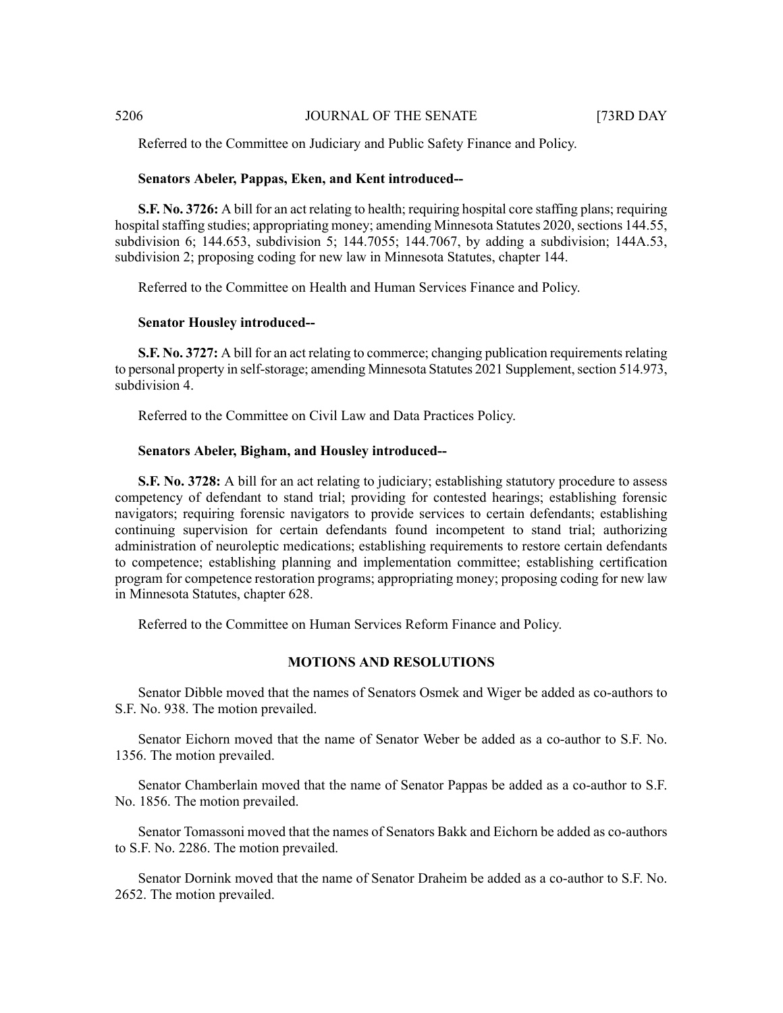Referred to the Committee on Judiciary and Public Safety Finance and Policy.

#### **Senators Abeler, Pappas, Eken, and Kent introduced--**

**S.F. No. 3726:** A bill for an act relating to health; requiring hospital core staffing plans; requiring hospital staffing studies; appropriating money; amending Minnesota Statutes 2020, sections 144.55, subdivision 6; 144.653, subdivision 5; 144.7055; 144.7067, by adding a subdivision; 144A.53, subdivision 2; proposing coding for new law in Minnesota Statutes, chapter 144.

Referred to the Committee on Health and Human Services Finance and Policy.

#### **Senator Housley introduced--**

**S.F. No. 3727:** A bill for an act relating to commerce; changing publication requirements relating to personal property in self-storage; amending Minnesota Statutes 2021 Supplement, section 514.973, subdivision 4.

Referred to the Committee on Civil Law and Data Practices Policy.

#### **Senators Abeler, Bigham, and Housley introduced--**

**S.F. No. 3728:** A bill for an act relating to judiciary; establishing statutory procedure to assess competency of defendant to stand trial; providing for contested hearings; establishing forensic navigators; requiring forensic navigators to provide services to certain defendants; establishing continuing supervision for certain defendants found incompetent to stand trial; authorizing administration of neuroleptic medications; establishing requirements to restore certain defendants to competence; establishing planning and implementation committee; establishing certification program for competence restoration programs; appropriating money; proposing coding for new law in Minnesota Statutes, chapter 628.

Referred to the Committee on Human Services Reform Finance and Policy.

### **MOTIONS AND RESOLUTIONS**

Senator Dibble moved that the names of Senators Osmek and Wiger be added as co-authors to S.F. No. 938. The motion prevailed.

Senator Eichorn moved that the name of Senator Weber be added as a co-author to S.F. No. 1356. The motion prevailed.

Senator Chamberlain moved that the name of Senator Pappas be added as a co-author to S.F. No. 1856. The motion prevailed.

Senator Tomassoni moved that the names of Senators Bakk and Eichorn be added as co-authors to S.F. No. 2286. The motion prevailed.

Senator Dornink moved that the name of Senator Draheim be added as a co-author to S.F. No. 2652. The motion prevailed.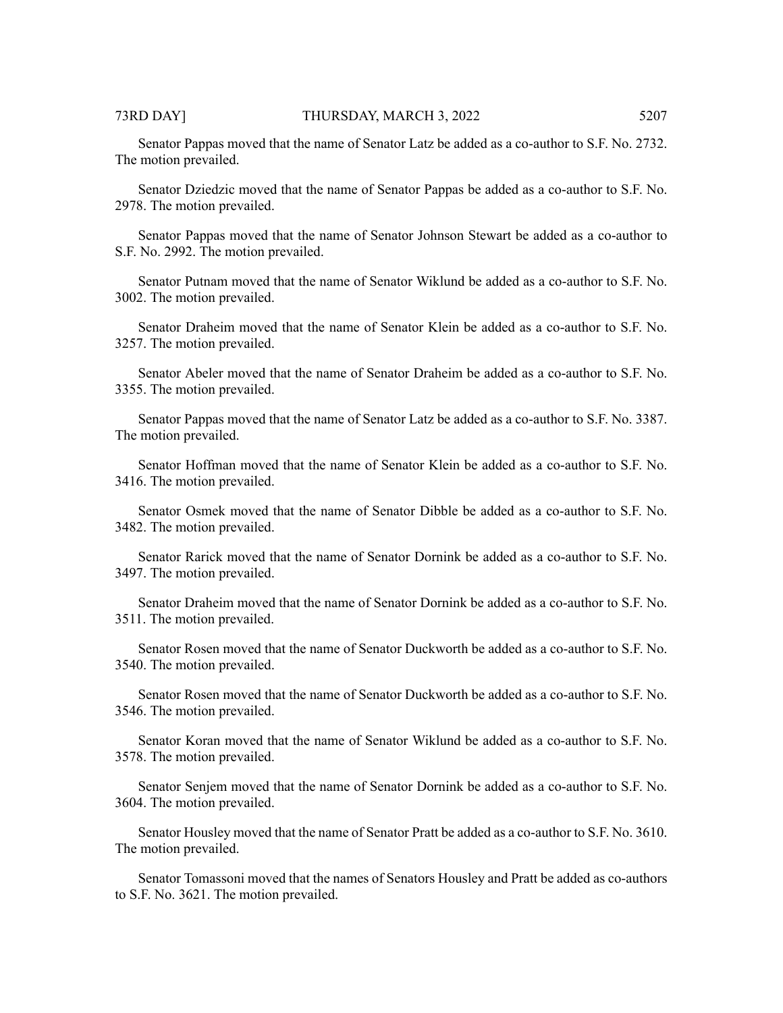Senator Pappas moved that the name of Senator Latz be added as a co-author to S.F. No. 2732. The motion prevailed.

Senator Dziedzic moved that the name of Senator Pappas be added as a co-author to S.F. No. 2978. The motion prevailed.

Senator Pappas moved that the name of Senator Johnson Stewart be added as a co-author to S.F. No. 2992. The motion prevailed.

Senator Putnam moved that the name of Senator Wiklund be added as a co-author to S.F. No. 3002. The motion prevailed.

Senator Draheim moved that the name of Senator Klein be added as a co-author to S.F. No. 3257. The motion prevailed.

Senator Abeler moved that the name of Senator Draheim be added as a co-author to S.F. No. 3355. The motion prevailed.

Senator Pappas moved that the name of Senator Latz be added as a co-author to S.F. No. 3387. The motion prevailed.

Senator Hoffman moved that the name of Senator Klein be added as a co-author to S.F. No. 3416. The motion prevailed.

Senator Osmek moved that the name of Senator Dibble be added as a co-author to S.F. No. 3482. The motion prevailed.

Senator Rarick moved that the name of Senator Dornink be added as a co-author to S.F. No. 3497. The motion prevailed.

Senator Draheim moved that the name of Senator Dornink be added as a co-author to S.F. No. 3511. The motion prevailed.

Senator Rosen moved that the name of Senator Duckworth be added as a co-author to S.F. No. 3540. The motion prevailed.

Senator Rosen moved that the name of Senator Duckworth be added as a co-author to S.F. No. 3546. The motion prevailed.

Senator Koran moved that the name of Senator Wiklund be added as a co-author to S.F. No. 3578. The motion prevailed.

Senator Senjem moved that the name of Senator Dornink be added as a co-author to S.F. No. 3604. The motion prevailed.

Senator Housley moved that the name of Senator Pratt be added as a co-author to S.F. No. 3610. The motion prevailed.

Senator Tomassoni moved that the names of Senators Housley and Pratt be added as co-authors to S.F. No. 3621. The motion prevailed.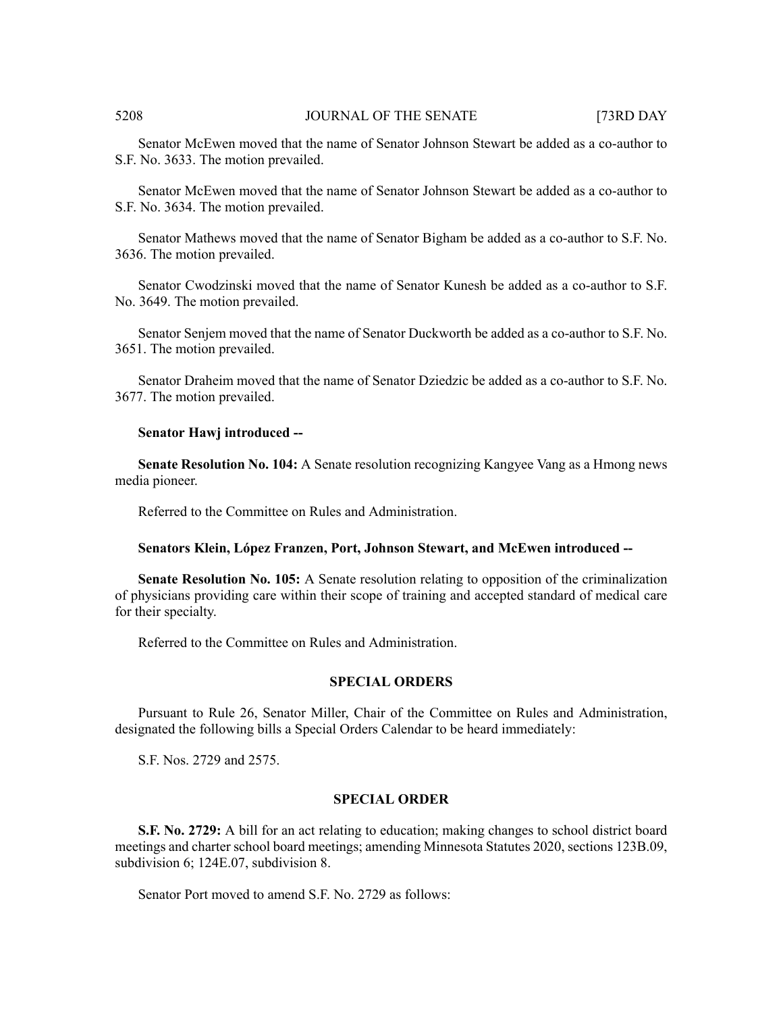Senator McEwen moved that the name of Senator Johnson Stewart be added as a co-author to S.F. No. 3633. The motion prevailed.

Senator McEwen moved that the name of Senator Johnson Stewart be added as a co-author to S.F. No. 3634. The motion prevailed.

Senator Mathews moved that the name of Senator Bigham be added as a co-author to S.F. No. 3636. The motion prevailed.

Senator Cwodzinski moved that the name of Senator Kunesh be added as a co-author to S.F. No. 3649. The motion prevailed.

Senator Senjem moved that the name of Senator Duckworth be added as a co-author to S.F. No. 3651. The motion prevailed.

Senator Draheim moved that the name of Senator Dziedzic be added as a co-author to S.F. No. 3677. The motion prevailed.

#### **Senator Hawj introduced --**

**Senate Resolution No. 104:** A Senate resolution recognizing Kangyee Vang as a Hmong news media pioneer.

Referred to the Committee on Rules and Administration.

# **Senators Klein, López Franzen, Port, Johnson Stewart, and McEwen introduced --**

**Senate Resolution No. 105:** A Senate resolution relating to opposition of the criminalization of physicians providing care within their scope of training and accepted standard of medical care for their specialty.

Referred to the Committee on Rules and Administration.

#### **SPECIAL ORDERS**

Pursuant to Rule 26, Senator Miller, Chair of the Committee on Rules and Administration, designated the following bills a Special Orders Calendar to be heard immediately:

S.F. Nos. 2729 and 2575.

### **SPECIAL ORDER**

**S.F. No. 2729:** A bill for an act relating to education; making changes to school district board meetings and charter school board meetings; amending Minnesota Statutes 2020, sections 123B.09, subdivision 6; 124E.07, subdivision 8.

Senator Port moved to amend S.F. No. 2729 as follows: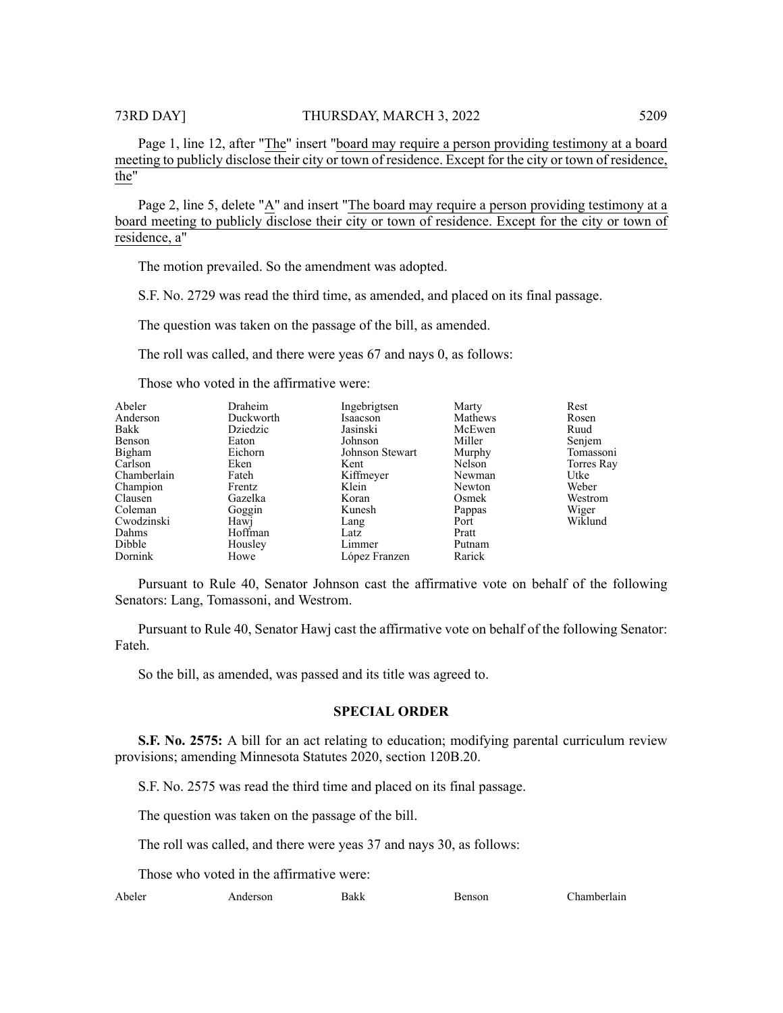Page 1, line 12, after "The" insert "board may require a person providing testimony at a board meeting to publicly disclose their city or town of residence. Except for the city or town of residence, the"

Page 2, line 5, delete "A" and insert "The board may require a person providing testimony at a board meeting to publicly disclose their city or town of residence. Except for the city or town of residence, a"

The motion prevailed. So the amendment was adopted.

S.F. No. 2729 was read the third time, as amended, and placed on its final passage.

The question was taken on the passage of the bill, as amended.

The roll was called, and there were yeas 67 and nays 0, as follows:

Those who voted in the affirmative were:

| Abeler      | Draheim   | Ingebrigtsen    | Marty   | Rest       |
|-------------|-----------|-----------------|---------|------------|
| Anderson    | Duckworth | Isaacson        | Mathews | Rosen      |
| Bakk        | Dziedzic  | Jasinski        | McEwen  | Ruud       |
| Benson      | Eaton     | Johnson         | Miller  | Senjem     |
| Bigham      | Eichorn   | Johnson Stewart | Murphy  | Tomassoni  |
| Carlson     | Eken      | Kent            | Nelson  | Torres Ray |
| Chamberlain | Fateh     | Kiffmeyer       | Newman  | Utke       |
| Champion    | Frentz    | Klein           | Newton  | Weber      |
| Clausen     | Gazelka   | Koran           | Osmek   | Westrom    |
| Coleman     | Goggin    | Kunesh          | Pappas  | Wiger      |
|             |           |                 |         |            |
| Cwodzinski  | Hawj      | Lang            | Port    | Wiklund    |
| Dahms       | Hoffman   | Latz            | Pratt   |            |
| Dibble      | Housley   | Limmer          | Putnam  |            |
| Dornink     | Howe      | López Franzen   | Rarick  |            |

Pursuant to Rule 40, Senator Johnson cast the affirmative vote on behalf of the following Senators: Lang, Tomassoni, and Westrom.

Pursuant to Rule 40, Senator Hawj cast the affirmative vote on behalf of the following Senator: Fateh.

So the bill, as amended, was passed and its title was agreed to.

# **SPECIAL ORDER**

**S.F.** No. 2575: A bill for an act relating to education; modifying parental curriculum review provisions; amending Minnesota Statutes 2020, section 120B.20.

S.F. No. 2575 was read the third time and placed on its final passage.

The question was taken on the passage of the bill.

The roll was called, and there were yeas 37 and nays 30, as follows:

Those who voted in the affirmative were:

Abeler Anderson Bakk Benson Chamberlain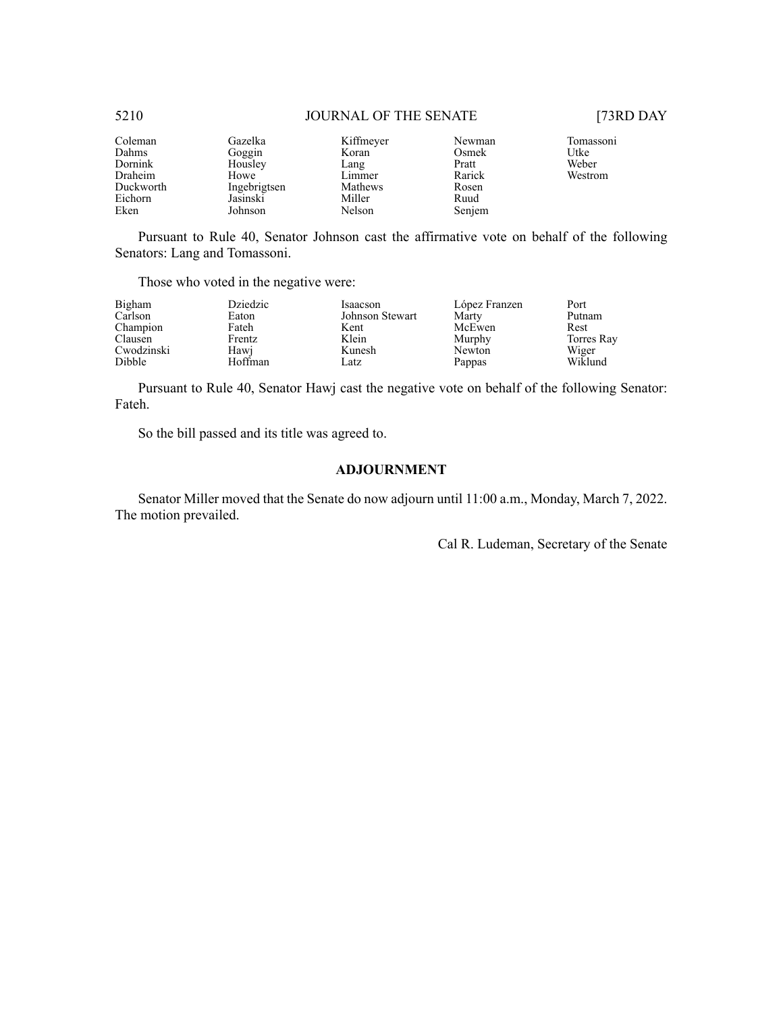| Coleman<br>Dahms<br>Dornink<br>Draheim<br>Duckworth<br>Eichorn | Gazelka<br>Goggin<br>Housley<br>Howe<br>Ingebrigtsen<br>Jasinski | Kiffmeyer<br>Koran<br>Lang<br>Limmer<br>Mathews<br>Miller | Newman<br>Osmek<br>Pratt<br>Rarick<br>Rosen<br>Ruud | Tomassoni<br>Utke<br>Weber<br>Westrom |
|----------------------------------------------------------------|------------------------------------------------------------------|-----------------------------------------------------------|-----------------------------------------------------|---------------------------------------|
| Eken                                                           | Johnson                                                          | Nelson                                                    | Senjem                                              |                                       |
|                                                                |                                                                  |                                                           |                                                     |                                       |

Pursuant to Rule 40, Senator Johnson cast the affirmative vote on behalf of the following Senators: Lang and Tomassoni.

Those who voted in the negative were:

| Bigham        | Dziedzic | Isaacson        | López Franzen | Port       |
|---------------|----------|-----------------|---------------|------------|
| Carlson       | Eaton    | Johnson Stewart | Marty         | Putnam     |
| Champion      | Fateh    | Kent            | McEwen        | Rest       |
| Clausen       | Frentz   | Klein           | Murphy        | Torres Ray |
| Cwodzinski    | Hawi     | Kunesh          | Newton        | Wiger      |
| <b>Dibble</b> | Hoffman  | Latz            | Pappas        | Wiklund    |

Pursuant to Rule 40, Senator Hawj cast the negative vote on behalf of the following Senator: Fateh.

So the bill passed and its title was agreed to.

# **ADJOURNMENT**

Senator Miller moved that the Senate do now adjourn until 11:00 a.m., Monday, March 7, 2022. The motion prevailed.

Cal R. Ludeman, Secretary of the Senate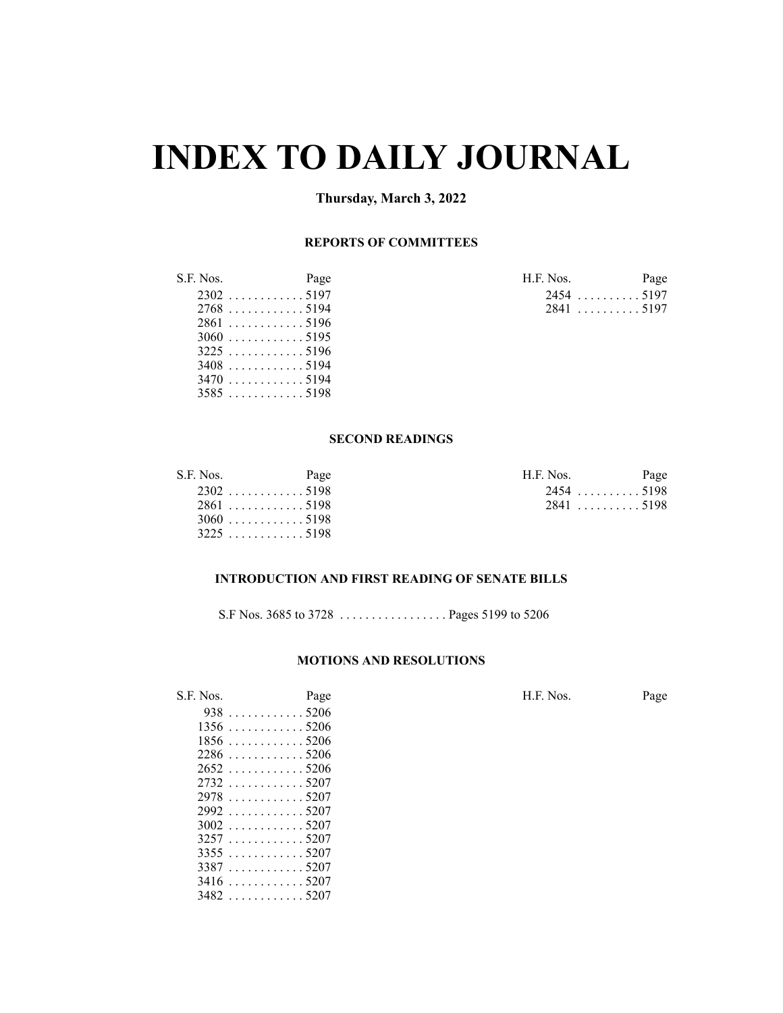# **INDEX TO DAILY JOURNAL**

# **Thursday, March 3, 2022**

# **REPORTS OF COMMITTEES**

| S.F. Nos. | Page                     | H.F. Nos. | Page |
|-----------|--------------------------|-----------|------|
|           |                          | 24545197  |      |
|           |                          | 2841 5197 |      |
|           | $2861$ 5196              |           |      |
|           |                          |           |      |
|           | $3225$ 5196              |           |      |
|           | $3408$ 5194              |           |      |
|           |                          |           |      |
|           | $3585 \dots  \dots 5198$ |           |      |

 . . . . . . . . . . . . 5207 . . . . . . . . . . . . 5207

| I.F. Nos. |             | Page |
|-----------|-------------|------|
|           | $2454$ 5197 |      |
|           | $2841$ 5197 |      |

# **SECOND READINGS**

| S.F. Nos. | Page        | H.F. Nos. | Page |
|-----------|-------------|-----------|------|
|           | $2302$ 5198 | 24545198  |      |
|           | $2861$ 5198 | 2841 5198 |      |
|           | $3060$ 5198 |           |      |
|           | $3225$ 5198 |           |      |

### **INTRODUCTION AND FIRST READING OF SENATE BILLS**

S.F Nos. 3685 to 3728 . . . . . . . . . . . . . . . . . Pages 5199 to 5206

### **MOTIONS AND RESOLUTIONS**

| S.F. Nos. | Page                             | H.F. Nos. | Page |
|-----------|----------------------------------|-----------|------|
|           | $938 \ldots  \ldots 5206$        |           |      |
|           | $1356$ 5206                      |           |      |
|           | $1856 \ldots \ldots \ldots 5206$ |           |      |
|           | $2286$ 5206                      |           |      |
|           | $2652$ 5206                      |           |      |
|           |                                  |           |      |
|           | $2978$ 5207                      |           |      |
|           | $2992$ 5207                      |           |      |
|           |                                  |           |      |
|           |                                  |           |      |
|           | $3355 \dots $ 5207               |           |      |
|           | $3387 \dots $ 5207               |           |      |